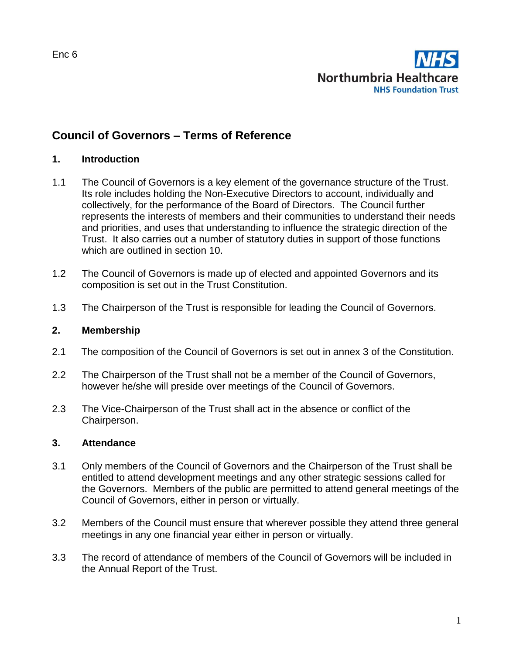

# **Council of Governors – Terms of Reference**

#### **1. Introduction**

- 1.1 The Council of Governors is a key element of the governance structure of the Trust. Its role includes holding the Non-Executive Directors to account, individually and collectively, for the performance of the Board of Directors. The Council further represents the interests of members and their communities to understand their needs and priorities, and uses that understanding to influence the strategic direction of the Trust. It also carries out a number of statutory duties in support of those functions which are outlined in section 10.
- 1.2 The Council of Governors is made up of elected and appointed Governors and its composition is set out in the Trust Constitution.
- 1.3 The Chairperson of the Trust is responsible for leading the Council of Governors.

#### **2. Membership**

- 2.1 The composition of the Council of Governors is set out in annex 3 of the Constitution.
- 2.2 The Chairperson of the Trust shall not be a member of the Council of Governors, however he/she will preside over meetings of the Council of Governors.
- 2.3 The Vice-Chairperson of the Trust shall act in the absence or conflict of the Chairperson.

#### **3. Attendance**

- 3.1 Only members of the Council of Governors and the Chairperson of the Trust shall be entitled to attend development meetings and any other strategic sessions called for the Governors. Members of the public are permitted to attend general meetings of the Council of Governors, either in person or virtually.
- 3.2 Members of the Council must ensure that wherever possible they attend three general meetings in any one financial year either in person or virtually.
- 3.3 The record of attendance of members of the Council of Governors will be included in the Annual Report of the Trust.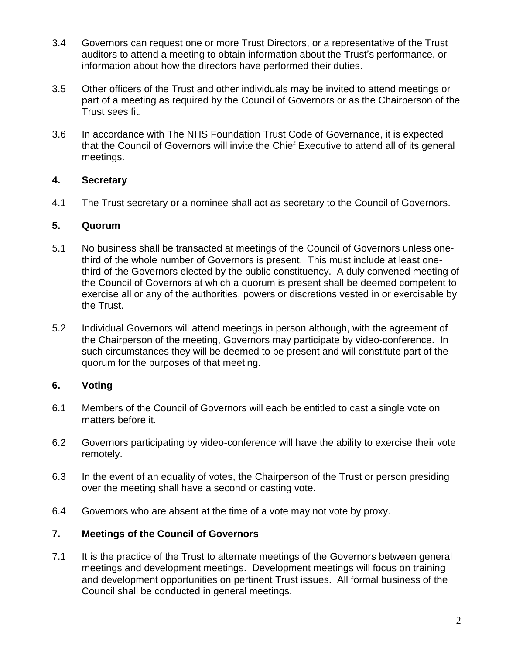- 3.4 Governors can request one or more Trust Directors, or a representative of the Trust auditors to attend a meeting to obtain information about the Trust's performance, or information about how the directors have performed their duties.
- 3.5 Other officers of the Trust and other individuals may be invited to attend meetings or part of a meeting as required by the Council of Governors or as the Chairperson of the Trust sees fit.
- 3.6 In accordance with The NHS Foundation Trust Code of Governance, it is expected that the Council of Governors will invite the Chief Executive to attend all of its general meetings.

## **4. Secretary**

4.1 The Trust secretary or a nominee shall act as secretary to the Council of Governors.

#### **5. Quorum**

- 5.1 No business shall be transacted at meetings of the Council of Governors unless onethird of the whole number of Governors is present. This must include at least onethird of the Governors elected by the public constituency. A duly convened meeting of the Council of Governors at which a quorum is present shall be deemed competent to exercise all or any of the authorities, powers or discretions vested in or exercisable by the Trust.
- 5.2 Individual Governors will attend meetings in person although, with the agreement of the Chairperson of the meeting, Governors may participate by video-conference. In such circumstances they will be deemed to be present and will constitute part of the quorum for the purposes of that meeting.

## **6. Voting**

- 6.1 Members of the Council of Governors will each be entitled to cast a single vote on matters before it.
- 6.2 Governors participating by video-conference will have the ability to exercise their vote remotely.
- 6.3 In the event of an equality of votes, the Chairperson of the Trust or person presiding over the meeting shall have a second or casting vote.
- 6.4 Governors who are absent at the time of a vote may not vote by proxy.

## **7. Meetings of the Council of Governors**

7.1 It is the practice of the Trust to alternate meetings of the Governors between general meetings and development meetings. Development meetings will focus on training and development opportunities on pertinent Trust issues. All formal business of the Council shall be conducted in general meetings.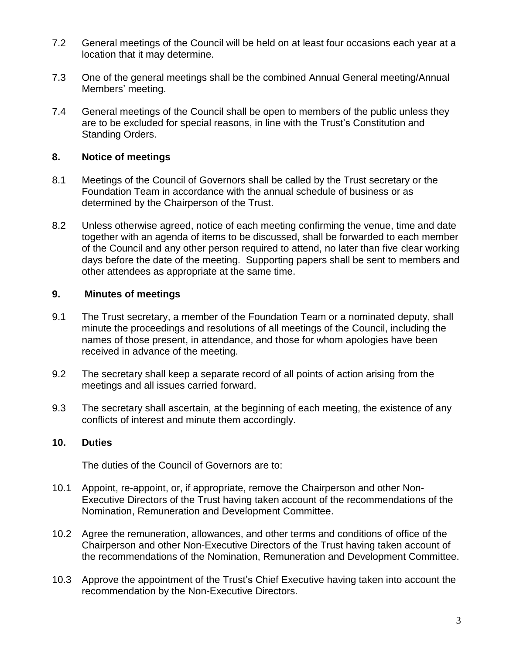- 7.2 General meetings of the Council will be held on at least four occasions each year at a location that it may determine.
- 7.3 One of the general meetings shall be the combined Annual General meeting/Annual Members' meeting.
- 7.4 General meetings of the Council shall be open to members of the public unless they are to be excluded for special reasons, in line with the Trust's Constitution and Standing Orders.

## **8. Notice of meetings**

- 8.1 Meetings of the Council of Governors shall be called by the Trust secretary or the Foundation Team in accordance with the annual schedule of business or as determined by the Chairperson of the Trust.
- 8.2 Unless otherwise agreed, notice of each meeting confirming the venue, time and date together with an agenda of items to be discussed, shall be forwarded to each member of the Council and any other person required to attend, no later than five clear working days before the date of the meeting. Supporting papers shall be sent to members and other attendees as appropriate at the same time.

## **9. Minutes of meetings**

- 9.1 The Trust secretary, a member of the Foundation Team or a nominated deputy, shall minute the proceedings and resolutions of all meetings of the Council, including the names of those present, in attendance, and those for whom apologies have been received in advance of the meeting.
- 9.2 The secretary shall keep a separate record of all points of action arising from the meetings and all issues carried forward.
- 9.3 The secretary shall ascertain, at the beginning of each meeting, the existence of any conflicts of interest and minute them accordingly.

## **10. Duties**

The duties of the Council of Governors are to:

- 10.1 Appoint, re-appoint, or, if appropriate, remove the Chairperson and other Non-Executive Directors of the Trust having taken account of the recommendations of the Nomination, Remuneration and Development Committee.
- 10.2 Agree the remuneration, allowances, and other terms and conditions of office of the Chairperson and other Non-Executive Directors of the Trust having taken account of the recommendations of the Nomination, Remuneration and Development Committee.
- 10.3 Approve the appointment of the Trust's Chief Executive having taken into account the recommendation by the Non-Executive Directors.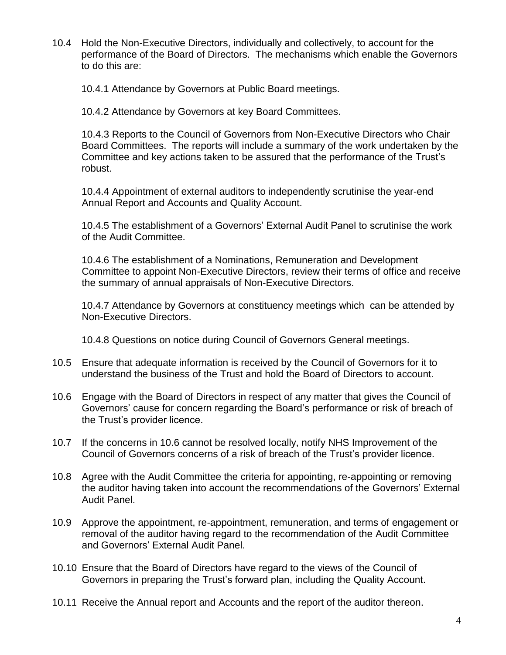10.4 Hold the Non-Executive Directors, individually and collectively, to account for the performance of the Board of Directors. The mechanisms which enable the Governors to do this are:

10.4.1 Attendance by Governors at Public Board meetings.

10.4.2 Attendance by Governors at key Board Committees.

10.4.3 Reports to the Council of Governors from Non-Executive Directors who Chair Board Committees. The reports will include a summary of the work undertaken by the Committee and key actions taken to be assured that the performance of the Trust's robust.

10.4.4 Appointment of external auditors to independently scrutinise the year-end Annual Report and Accounts and Quality Account.

10.4.5 The establishment of a Governors' External Audit Panel to scrutinise the work of the Audit Committee.

10.4.6 The establishment of a Nominations, Remuneration and Development Committee to appoint Non-Executive Directors, review their terms of office and receive the summary of annual appraisals of Non-Executive Directors.

10.4.7 Attendance by Governors at constituency meetings which can be attended by Non-Executive Directors.

10.4.8 Questions on notice during Council of Governors General meetings.

- 10.5 Ensure that adequate information is received by the Council of Governors for it to understand the business of the Trust and hold the Board of Directors to account.
- 10.6 Engage with the Board of Directors in respect of any matter that gives the Council of Governors' cause for concern regarding the Board's performance or risk of breach of the Trust's provider licence.
- 10.7 If the concerns in 10.6 cannot be resolved locally, notify NHS Improvement of the Council of Governors concerns of a risk of breach of the Trust's provider licence.
- 10.8 Agree with the Audit Committee the criteria for appointing, re-appointing or removing the auditor having taken into account the recommendations of the Governors' External Audit Panel.
- 10.9 Approve the appointment, re-appointment, remuneration, and terms of engagement or removal of the auditor having regard to the recommendation of the Audit Committee and Governors' External Audit Panel.
- 10.10 Ensure that the Board of Directors have regard to the views of the Council of Governors in preparing the Trust's forward plan, including the Quality Account.
- 10.11 Receive the Annual report and Accounts and the report of the auditor thereon.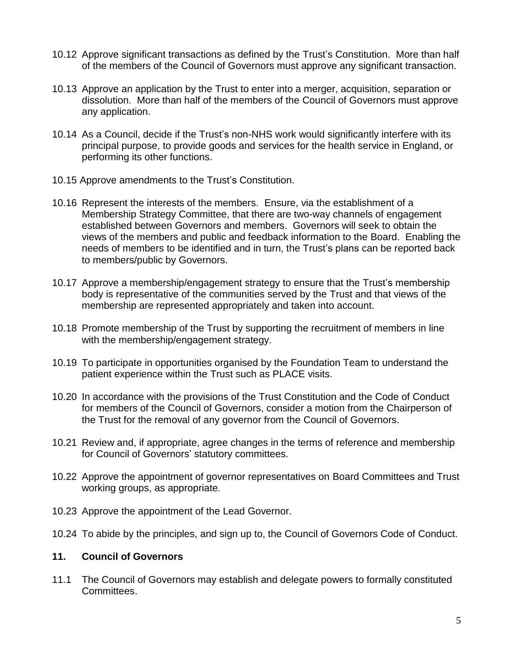- 10.12 Approve significant transactions as defined by the Trust's Constitution. More than half of the members of the Council of Governors must approve any significant transaction.
- 10.13 Approve an application by the Trust to enter into a merger, acquisition, separation or dissolution. More than half of the members of the Council of Governors must approve any application.
- 10.14 As a Council, decide if the Trust's non-NHS work would significantly interfere with its principal purpose, to provide goods and services for the health service in England, or performing its other functions.
- 10.15 Approve amendments to the Trust's Constitution.
- 10.16 Represent the interests of the members. Ensure, via the establishment of a Membership Strategy Committee, that there are two-way channels of engagement established between Governors and members. Governors will seek to obtain the views of the members and public and feedback information to the Board. Enabling the needs of members to be identified and in turn, the Trust's plans can be reported back to members/public by Governors.
- 10.17 Approve a membership/engagement strategy to ensure that the Trust's membership body is representative of the communities served by the Trust and that views of the membership are represented appropriately and taken into account.
- 10.18 Promote membership of the Trust by supporting the recruitment of members in line with the membership/engagement strategy.
- 10.19 To participate in opportunities organised by the Foundation Team to understand the patient experience within the Trust such as PLACE visits.
- 10.20 In accordance with the provisions of the Trust Constitution and the Code of Conduct for members of the Council of Governors, consider a motion from the Chairperson of the Trust for the removal of any governor from the Council of Governors.
- 10.21 Review and, if appropriate, agree changes in the terms of reference and membership for Council of Governors' statutory committees.
- 10.22 Approve the appointment of governor representatives on Board Committees and Trust working groups, as appropriate.
- 10.23 Approve the appointment of the Lead Governor.
- 10.24 To abide by the principles, and sign up to, the Council of Governors Code of Conduct.

#### **11. Council of Governors**

11.1 The Council of Governors may establish and delegate powers to formally constituted Committees.